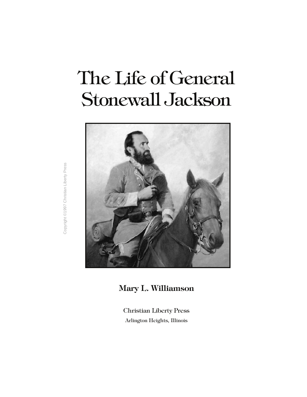# The Life of General Stonewall Jackson



### **Mary L. Williamson**

Christian Liberty Press Arlington Heights, Illinois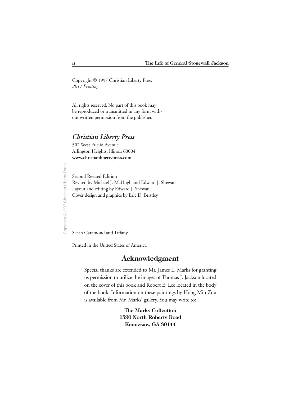Copyright © 1997 Christian Liberty Press *2011 Printing*

All rights reserved. No part of this book may be reproduced or transmitted in any form without written permission from the publisher.

#### *Christian Liberty Press*

502 West Euclid Avenue Arlington Heights, Illinois 60004 **www.christianlibertypress.com**

Second Revised Edition Revised by Michael J. McHugh and Edward J. Shewan Layout and editing by Edward J. Shewan Cover design and graphics by Eric D. Bristley

Set in Garamond and Tiffany

Printed in the United States of America

#### **Acknowledgment**

Special thanks are extended to Mr. James L. Marks for granting us permission to utilize the images of Thomas J. Jackson located on the cover of this book and Robert E. Lee located in the body of the book. Information on these paintings by Hong Min Zou is available from Mr. Marks' gallery. You may write to:

> **The Marks Collection 1590 North Roberts Road Kennesaw, GA 30144**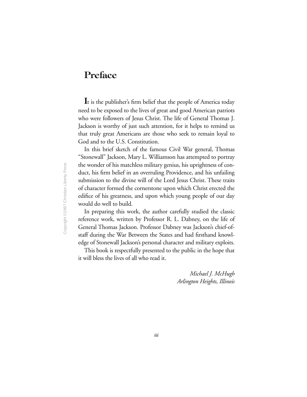## **Preface**

**I**t is the publisher's firm belief that the people of America today need to be exposed to the lives of great and good American patriots who were followers of Jesus Christ. The life of General Thomas J. Jackson is worthy of just such attention, for it helps to remind us that truly great Americans are those who seek to remain loyal to God and to the U.S. Constitution.

In this brief sketch of the famous Civil War general, Thomas "Stonewall" Jackson, Mary L. Williamson has attempted to portray the wonder of his matchless military genius, his uprightness of conduct, his firm belief in an overruling Providence, and his unfailing submission to the divine will of the Lord Jesus Christ. These traits of character formed the cornerstone upon which Christ erected the edifice of his greatness, and upon which young people of our day would do well to build.

In preparing this work, the author carefully studied the classic reference work, written by Professor R. L. Dabney, on the life of General Thomas Jackson. Professor Dabney was Jackson's chief-ofstaff during the War Between the States and had firsthand knowledge of Stonewall Jackson's personal character and military exploits.

This book is respectfully presented to the public in the hope that it will bless the lives of all who read it.

> *Michael J. McHugh Arlington Heights, Illinois*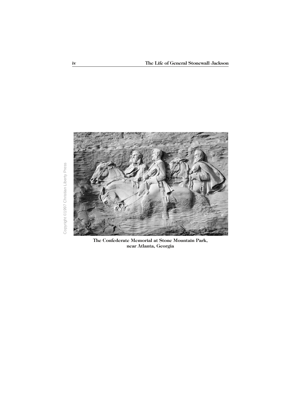

**The Confederate Memorial at Stone Mountain Park, near Atlanta, Georgia**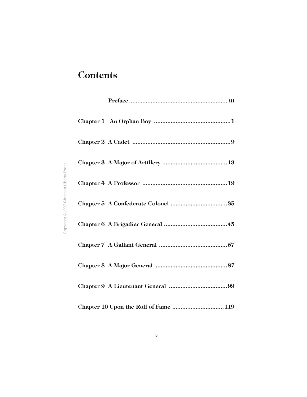# **Contents**

| Chapter 10 Upon the Roll of Fame 119 |
|--------------------------------------|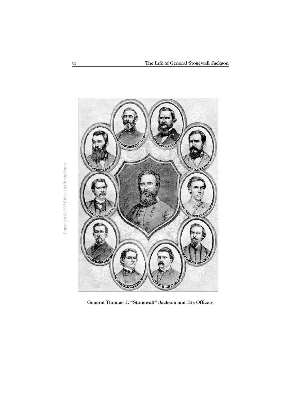

**General Thomas J. "Stonewall" Jackson and His Officers**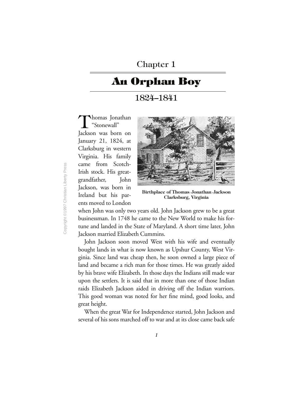#### Chapter 1

# **An Orphan Boy**

1824–1841

homas Jonathan "Stonewall" Jackson was born on January 21, 1824, at Clarksburg in western Virginia. His family came from Scotch-Irish stock. His greatgrandfather, John Jackson, was born in Ireland but his parents moved to London T



**Birthplace of Thomas Jonathan Jackson Clarksburg, Virginia**

when John was only two years old. John Jackson grew to be a great businessman. In 1748 he came to the New World to make his fortune and landed in the State of Maryland. A short time later, John Jackson married Elizabeth Cummins.

John Jackson soon moved West with his wife and eventually bought lands in what is now known as Upshur County, West Virginia. Since land was cheap then, he soon owned a large piece of land and became a rich man for those times. He was greatly aided by his brave wife Elizabeth. In those days the Indians still made war upon the settlers. It is said that in more than one of those Indian raids Elizabeth Jackson aided in driving off the Indian warriors. This good woman was noted for her fine mind, good looks, and great height.

When the great War for Independence started, John Jackson and several of his sons marched off to war and at its close came back safe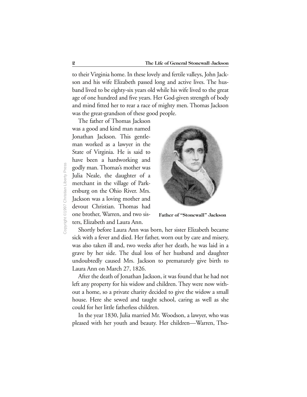to their Virginia home. In these lovely and fertile valleys, John Jackson and his wife Elizabeth passed long and active lives. The husband lived to be eighty-six years old while his wife lived to the great age of one hundred and five years. Her God-given strength of body and mind fitted her to rear a race of mighty men. Thomas Jackson was the great-grandson of these good people.

The father of Thomas Jackson was a good and kind man named Jonathan Jackson. This gentleman worked as a lawyer in the State of Virginia. He is said to have been a hardworking and godly man. Thomas's mother was Julia Neale, the daughter of a merchant in the village of Parkersburg on the Ohio River. Mrs. Jackson was a loving mother and devout Christian. Thomas had one brother, Warren, and two sisters, Elizabeth and Laura Ann.



**Father of "Stonewall" Jackson**

Shortly before Laura Ann was born, her sister Elizabeth became sick with a fever and died. Her father, worn out by care and misery, was also taken ill and, two weeks after her death, he was laid in a grave by her side. The dual loss of her husband and daughter undoubtedly caused Mrs. Jackson to prematurely give birth to Laura Ann on March 27, 1826.

After the death of Jonathan Jackson, it was found that he had not left any property for his widow and children. They were now without a home, so a private charity decided to give the widow a small house. Here she sewed and taught school, caring as well as she could for her little fatherless children.

In the year 1830, Julia married Mr. Woodson, a lawyer, who was pleased with her youth and beauty. Her children—Warren, Tho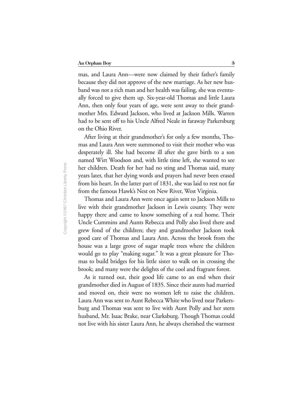mas, and Laura Ann—were now claimed by their father's family because they did not approve of the new marriage. As her new husband was not a rich man and her health was failing, she was eventually forced to give them up. Six-year-old Thomas and little Laura Ann, then only four years of age, were sent away to their grandmother Mrs. Edward Jackson, who lived at Jackson Mills. Warren had to be sent off to his Uncle Alfred Neale in faraway Parkersburg on the Ohio River.

After living at their grandmother's for only a few months, Thomas and Laura Ann were summoned to visit their mother who was desperately ill. She had become ill after she gave birth to a son named Wirt Woodson and, with little time left, she wanted to see her children. Death for her had no sting and Thomas said, many years later, that her dying words and prayers had never been erased from his heart. In the latter part of 1831, she was laid to rest not far from the famous Hawk's Nest on New River, West Virginia.

Thomas and Laura Ann were once again sent to Jackson Mills to live with their grandmother Jackson in Lewis county. They were happy there and came to know something of a real home. Their Uncle Cummins and Aunts Rebecca and Polly also lived there and grew fond of the children; they and grandmother Jackson took good care of Thomas and Laura Ann. Across the brook from the house was a large grove of sugar maple trees where the children would go to play "making sugar." It was a great pleasure for Thomas to build bridges for his little sister to walk on in crossing the brook; and many were the delights of the cool and fragrant forest.

As it turned out, their good life came to an end when their grandmother died in August of 1835. Since their aunts had married and moved on, their were no women left to raise the children. Laura Ann was sent to Aunt Rebecca White who lived near Parkersburg and Thomas was sent to live with Aunt Polly and her stern husband, Mr. Isaac Brake, near Clarksburg. Though Thomas could not live with his sister Laura Ann, he always cherished the warmest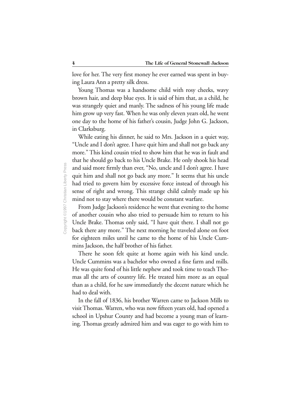love for her. The very first money he ever earned was spent in buying Laura Ann a pretty silk dress.

Young Thomas was a handsome child with rosy cheeks, wavy brown hair, and deep blue eyes. It is said of him that, as a child, he was strangely quiet and manly. The sadness of his young life made him grow up very fast. When he was only eleven years old, he went one day to the home of his father's cousin, Judge John G. Jackson, in Clarksburg.

While eating his dinner, he said to Mrs. Jackson in a quiet way, "Uncle and I don't agree. I have quit him and shall not go back any more." This kind cousin tried to show him that he was in fault and that he should go back to his Uncle Brake. He only shook his head and said more firmly than ever, "No, uncle and I don't agree. I have quit him and shall not go back any more." It seems that his uncle had tried to govern him by excessive force instead of through his sense of right and wrong. This strange child calmly made up his mind not to stay where there would be constant warfare.

From Judge Jackson's residence he went that evening to the home of another cousin who also tried to persuade him to return to his Uncle Brake. Thomas only said, "I have quit there. I shall not go back there any more." The next morning he traveled alone on foot for eighteen miles until he came to the home of his Uncle Cummins Jackson, the half brother of his father.

There he soon felt quite at home again with his kind uncle. Uncle Cummins was a bachelor who owned a fine farm and mills. He was quite fond of his little nephew and took time to teach Thomas all the arts of country life. He treated him more as an equal than as a child, for he saw immediately the decent nature which he had to deal with.

In the fall of 1836, his brother Warren came to Jackson Mills to visit Thomas. Warren, who was now fifteen years old, had opened a school in Upshur County and had become a young man of learning. Thomas greatly admired him and was eager to go with him to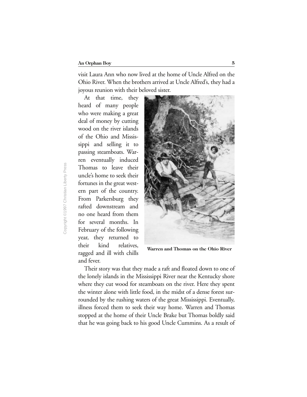visit Laura Ann who now lived at the home of Uncle Alfred on the Ohio River. When the brothers arrived at Uncle Alfred's, they had a joyous reunion with their beloved sister.

At that time, they heard of many people who were making a great deal of money by cutting wood on the river islands of the Ohio and Mississippi and selling it to passing steamboats. Warren eventually induced Thomas to leave their uncle's home to seek their fortunes in the great western part of the country. From Parkersburg they rafted downstream and no one heard from them for several months. In February of the following year, they returned to their kind relatives, ragged and ill with chills and fever.



**Warren and Thomas on the Ohio River**

Their story was that they made a raft and floated down to one of the lonely islands in the Mississippi River near the Kentucky shore where they cut wood for steamboats on the river. Here they spent the winter alone with little food, in the midst of a dense forest surrounded by the rushing waters of the great Mississippi. Eventually, illness forced them to seek their way home. Warren and Thomas stopped at the home of their Uncle Brake but Thomas boldly said that he was going back to his good Uncle Cummins. As a result of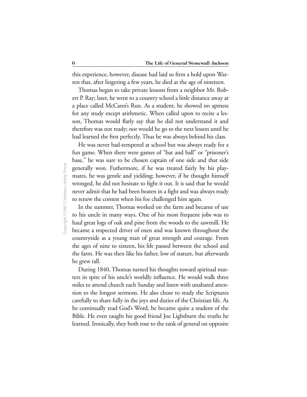this experience, however, disease had laid so firm a hold upon Warren that, after lingering a few years, he died at the age of nineteen.

Thomas began to take private lessons from a neighbor Mr. Robert P. Ray; later, he went to a country school a little distance away at a place called McCann's Run. As a student, he showed no aptness for any study except arithmetic. When called upon to recite a lesson, Thomas would flatly say that he did not understand it and therefore was not ready; nor would he go to the next lesson until he had learned the first perfectly. Thus he was always behind his class.

He was never bad-tempered at school but was always ready for a fun game. When there were games of "bat and ball" or "prisoner's base," he was sure to be chosen captain of one side and that side generally won. Futhermore, if he was treated fairly by his playmates, he was gentle and yielding; however, if he thought himself wronged, he did not hesitate to fight it out. It is said that he would never admit that he had been beaten in a fight and was always ready to renew the contest when his foe challenged him again.

In the summer, Thomas worked on the farm and became of use to his uncle in many ways. One of his most frequent jobs was to haul great logs of oak and pine from the woods to the sawmill. He became a respected driver of oxen and was known throughout the countryside as a young man of great strength and courage. From the ages of nine to sixteen, his life passed between the school and the farm. He was then like his father, low of stature, but afterwards he grew tall.

During 1840, Thomas turned his thoughts toward spiritual matters in spite of his uncle's worldly influence. He would walk three miles to attend church each Sunday and listen with unabated attention to the longest sermons. He also chose to study the Scriptures carefully to share fully in the joys and duties of the Christian life. As he continually read God's Word, he became quite a student of the Bible. He even taught his good friend Joe Lightburn the truths he learned. Ironically, they both rose to the rank of general on opposite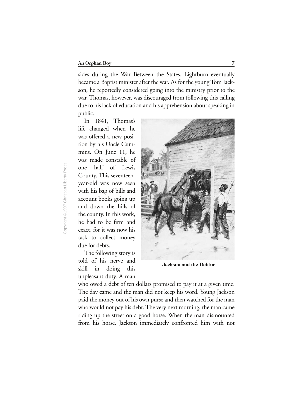sides during the War Between the States. Lightburn eventually became a Baptist minister after the war. As for the young Tom Jackson, he reportedly considered going into the ministry prior to the war. Thomas, however, was discouraged from following this calling due to his lack of education and his apprehension about speaking in public.

In 1841, Thomas's life changed when he was offered a new position by his Uncle Cummins. On June 11, he was made constable of one half of Lewis County. This seventeenyear-old was now seen with his bag of bills and account books going up and down the hills of the county. In this work, he had to be firm and exact, for it was now his task to collect money due for debts.

The following story is told of his nerve and skill in doing this unpleasant duty. A man



**Jackson and the Debtor**

who owed a debt of ten dollars promised to pay it at a given time. The day came and the man did not keep his word. Young Jackson paid the money out of his own purse and then watched for the man who would not pay his debt. The very next morning, the man came riding up the street on a good horse. When the man dismounted from his horse, Jackson immediately confronted him with not